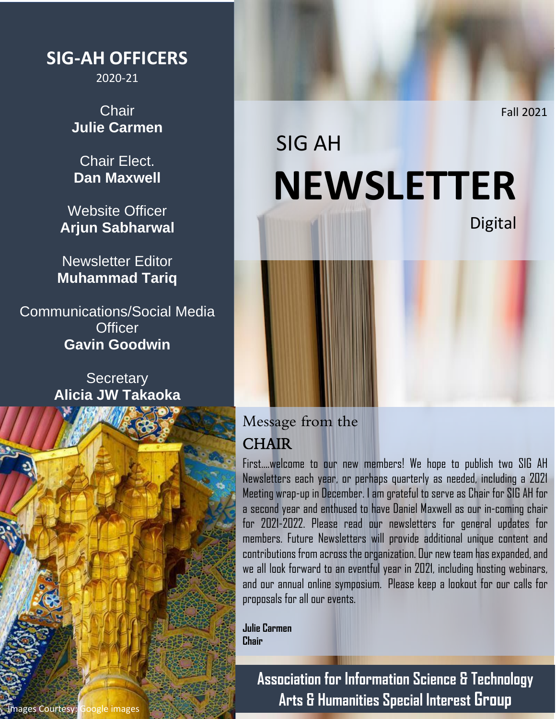## **SIG-AH OFFICERS**

2020-21

**Chair Julie Carmen**

Chair Elect. **Dan Maxwell**

Website Officer **Arjun Sabharwal**

Newsletter Editor **Muhammad Tariq**

Communications/Social Media **Officer Gavin Goodwin**

> **Secretary Alicia JW Takaoka**

SIG AH **NEWSLETTER** Digital

## Message from the **CHAIR**

First….welcome to our new members! We hope to publish two SIG AH Newsletters each year, or perhaps quarterly as needed, including a 2021 Meeting wrap-up in December. I am grateful to serve as Chair for SIG AH for a second year and enthused to have Daniel Maxwell as our in-coming chair for 2021-2022. Please read our newsletters for general updates for members. Future Newsletters will provide additional unique content and contributions from across the organization. Our new team has expanded, and we all look forward to an eventful year in 2021, including hosting webinars, and our annual online symposium. Please keep a lookout for our calls for proposals for all our events.

**Julie Carmen Chair**

**Association for Information Science & Technology Arts & Humanities Special Interest Group** 

Fall 2021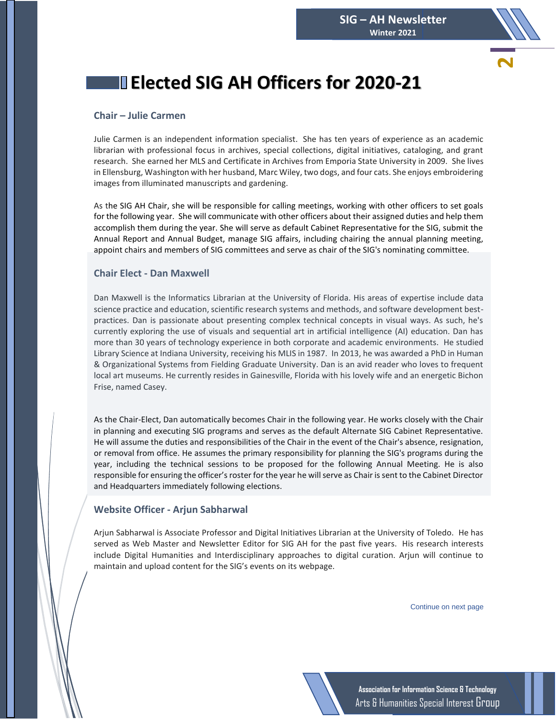

# **Elected SIG AH Officers for 2020-21**

## **Chair – Julie Carmen**

Julie Carmen is an independent information specialist. She has ten years of experience as an academic librarian with professional focus in archives, special collections, digital initiatives, cataloging, and grant research. She earned her MLS and Certificate in Archives from Emporia State University in 2009. She lives in Ellensburg, Washington with her husband, Marc Wiley, two dogs, and four cats. She enjoys embroidering images from illuminated manuscripts and gardening.

As the SIG AH Chair, she will be responsible for calling meetings, working with other officers to set goals for the following year. She will communicate with other officers about their assigned duties and help them accomplish them during the year. She will serve as default Cabinet Representative for the SIG, submit the Annual Report and Annual Budget, manage SIG affairs, including chairing the annual planning meeting, appoint chairs and members of SIG committees and serve as chair of the SIG's nominating committee.

## **Chair Elect - Dan Maxwell**

Dan Maxwell is the Informatics Librarian at the University of Florida. His areas of expertise include data science practice and education, scientific research systems and methods, and software development bestpractices. Dan is passionate about presenting complex technical concepts in visual ways. As such, he's currently exploring the use of visuals and sequential art in artificial intelligence (AI) education. Dan has more than 30 years of technology experience in both corporate and academic environments. He studied Library Science at Indiana University, receiving his MLIS in 1987. In 2013, he was awarded a PhD in Human & Organizational Systems from Fielding Graduate University. Dan is an avid reader who loves to frequent local art museums. He currently resides in Gainesville, Florida with his lovely wife and an energetic Bichon Frise, named Casey.

As the Chair-Elect, Dan automatically becomes Chair in the following year. He works closely with the Chair in planning and executing SIG programs and serves as the default Alternate SIG Cabinet Representative. He will assume the duties and responsibilities of the Chair in the event of the Chair's absence, resignation, or removal from office. He assumes the primary responsibility for planning the SIG's programs during the year, including the technical sessions to be proposed for the following Annual Meeting. He is also responsible for ensuring the officer's roster for the year he will serve as Chair is sent to the Cabinet Director and Headquarters immediately following elections.

## **Website Officer - Arjun Sabharwal**

Arjun Sabharwal is Associate Professor and Digital Initiatives Librarian at the University of Toledo. He has served as Web Master and Newsletter Editor for SIG AH for the past five years. His research interests include Digital Humanities and Interdisciplinary approaches to digital curation. Arjun will continue to maintain and upload content for the SIG's events on its webpage.

Continue on next page

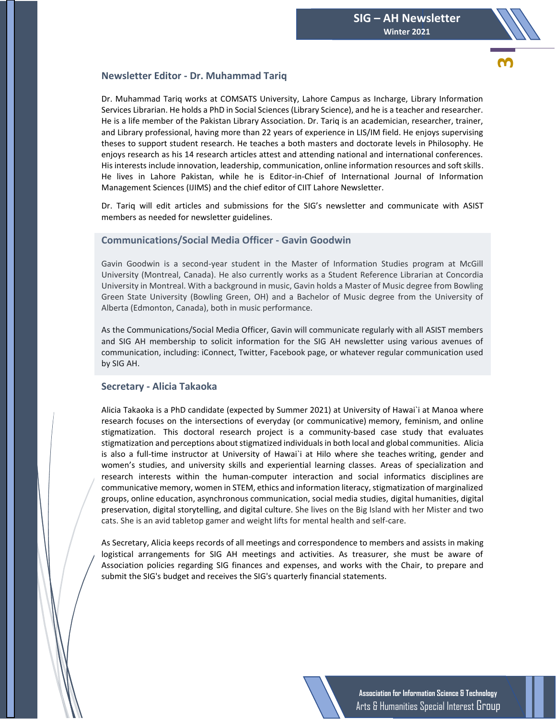

### **Newsletter Editor - Dr. Muhammad Tariq**

Dr. Muhammad Tariq works at COMSATS University, Lahore Campus as Incharge, Library Information Services Librarian. He holds a PhD in Social Sciences (Library Science), and he is a teacher and researcher. He is a life member of the Pakistan Library Association. Dr. Tariq is an academician, researcher, trainer, and Library professional, having more than 22 years of experience in LIS/IM field. He enjoys supervising theses to support student research. He teaches a both masters and doctorate levels in Philosophy. He enjoys research as his 14 research articles attest and attending national and international conferences. His interests include innovation, leadership, communication, online information resources and soft skills. He lives in Lahore Pakistan, while he is Editor-in-Chief of International Journal of Information Management Sciences (IJIMS) and the chief editor of CIIT Lahore Newsletter.

Dr. Tariq will edit articles and submissions for the SIG's newsletter and communicate with ASIST members as needed for newsletter guidelines.

#### **Communications/Social Media Officer - Gavin Goodwin**

Gavin Goodwin is a second-year student in the Master of Information Studies program at McGill<br>University (Mentreal Canada), He also surrently weeks as a Student Reference Librarian at Conservia University (Montreal, Canada). He also currently works as a Student Reference Librarian at Concordia University in Montreal. With a background in music, Gavin holds a Master of Music degree from Bowling Green State University (Bowling Green, OH) and a Bachelor of Music degree from the University of Alberta (Edmonton, Canada), both in music performance.

As the Communications/Social Media Officer, Gavin will communicate regularly with all ASIST members and SIG AH membership to solicit information for the SIG AH newsletter using various avenues of communication, including: iConnect, Twitter, Facebook page, or whatever regular communication used by SIG AH.

#### **Secretary - Alicia Takaoka**

stigmatization and perceptions about stigmatized individuals in both local and global communities. Alicia is also a full-time instructor at University of Hawai`i at Hilo where she teaches writing, gender and Alicia Takaoka is a PhD candidate (expected by Summer 2021) at University of Hawai`i at Manoa where research focuses on the intersections of everyday (or communicative) memory, feminism, and online stigmatization. This doctoral research project is a community-based case study that evaluates women's studies, and university skills and experiential learning classes. Areas of specialization and research interests within the human-computer interaction and social informatics disciplines are communicative memory, women in STEM, ethics and information literacy, stigmatization of marginalized groups, online education, asynchronous communication, social media studies, digital humanities, digital preservation, digital storytelling, and digital culture. She lives on the Big Island with her Mister and two cats. She is an avid tabletop gamer and weight lifts for mental health and self-care.

As Secretary, Alicia keeps records of all meetings and correspondence to members and assists in making logistical arrangements for SIG AH meetings and activities. As treasurer, she must be aware of Association policies regarding SIG finances and expenses, and works with the Chair, to prepare and submit the SIG's budget and receives the SIG's quarterly financial statements.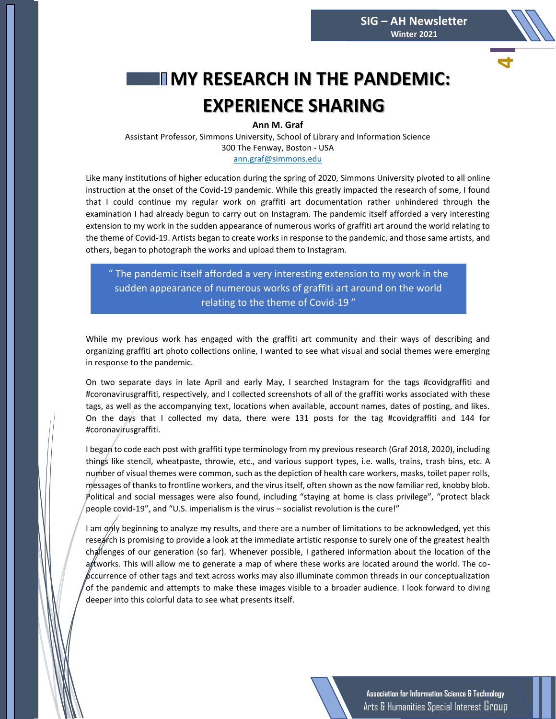

# **MY RESEARCH IN THE PANDEMIC: EXPERIENCE SHARING**

**Ann M. Graf**

Assistant Professor, Simmons University, School of Library and Information Science 300 The Fenway, Boston - USA [ann.graf@simmons.edu](mailto:ann.graf@simmons.edu)

Like many institutions of higher education during the spring of 2020, Simmons University pivoted to all online instruction at the onset of the Covid-19 pandemic. While this greatly impacted the research of some, I found that I could continue my regular work on graffiti art documentation rather unhindered through the examination I had already begun to carry out on Instagram. The pandemic itself afforded a very interesting extension to my work in the sudden appearance of numerous works of graffiti art around the world relating to the theme of Covid-19. Artists began to create works in response to the pandemic, and those same artists, and others, began to photograph the works and upload them to Instagram.

" The pandemic itself afforded a very interesting extension to my work in the sudden appearance of numerous works of graffiti art around on the world relating to the theme of Covid-19 "

While my previous work has engaged with the graffiti art community and their ways of describing and organizing graffiti art photo collections online, I wanted to see what visual and social themes were emerging in response to the pandemic.

On two separate days in late April and early May, I searched Instagram for the tags #covidgraffiti and #coronavirusgraffiti, respectively, and I collected screenshots of all of the graffiti works associated with these tags, as well as the accompanying text, locations when available, account names, dates of posting, and likes. On the days that I collected my data, there were 131 posts for the tag #covidgraffiti and 144 for #coronavirusgraffiti.

I began to code each post with graffiti type terminology from my previous research (Graf 2018, 2020), including things like stencil, wheatpaste, throwie, etc., and various support types, i.e. walls, trains, trash bins, etc. A number of visual themes were common, such as the depiction of health care workers, masks, toilet paper rolls, messages of thanks to frontline workers, and the virus itself, often shown as the now familiar red, knobby blob. Political and social messages were also found, including "staying at home is class privilege", "protect black people covid-19", and "U.S. imperialism is the virus – socialist revolution is the cure!"

I am only beginning to analyze my results, and there are a number of limitations to be acknowledged, yet this research is promising to provide a look at the immediate artistic response to surely one of the greatest health challenges of our generation (so far). Whenever possible, I gathered information about the location of the aftworks. This will allow me to generate a map of where these works are located around the world. The cooccurrence of other tags and text across works may also illuminate common threads in our conceptualization of the pandemic and attempts to make these images visible to a broader audience. I look forward to diving deeper into this colorful data to see what presents itself.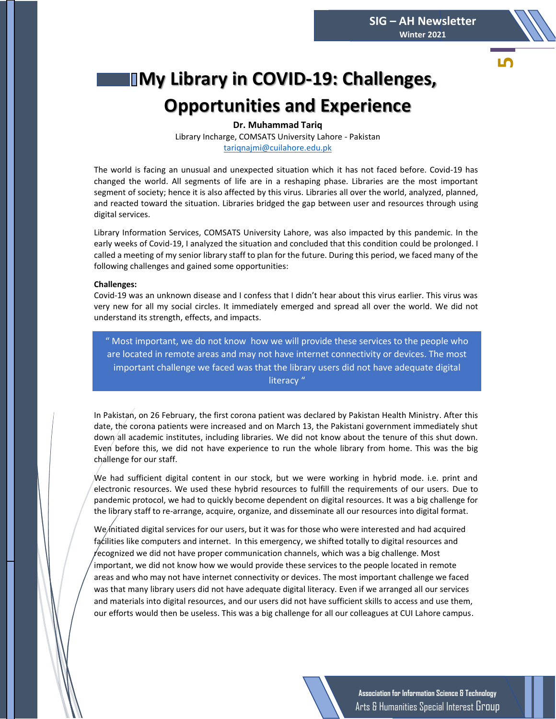

# **My Library in COVID-19: Challenges, Opportunities and Experience**

**Dr. Muhammad Tariq**

Library Incharge, COMSATS University Lahore - Pakistan [tariqnajmi@cuilahore.edu.pk](mailto:tariqnajmi@cuilahore.edu.pk)

The world is facing an unusual and unexpected situation which it has not faced before. Covid-19 has changed the world. All segments of life are in a reshaping phase. Libraries are the most important segment of society; hence it is also affected by this virus. Libraries all over the world, analyzed, planned, and reacted toward the situation. Libraries bridged the gap between user and resources through using digital services.

Library Information Services, COMSATS University Lahore, was also impacted by this pandemic. In the early weeks of Covid-19, I analyzed the situation and concluded that this condition could be prolonged. I called a meeting of my senior library staff to plan for the future. During this period, we faced many of the following challenges and gained some opportunities:

#### **Challenges:**

Covid-19 was an unknown disease and I confess that I didn't hear about this virus earlier. This virus was very new for all my social circles. It immediately emerged and spread all over the world. We did not understand its strength, effects, and impacts.

" Most important, we do not know how we will provide these services to the people who are located in remote areas and may not have internet connectivity or devices. The most important challenge we faced was that the library users did not have adequate digital literacy "

In Pakistan, on 26 February, the first corona patient was declared by Pakistan Health Ministry. After this date, the corona patients were increased and on March 13, the Pakistani government immediately shut down all academic institutes, including libraries. We did not know about the tenure of this shut down. Even before this, we did not have experience to run the whole library from home. This was the big challenge for our staff.

We had sufficient digital content in our stock, but we were working in hybrid mode. i.e. print and electronic resources. We used these hybrid resources to fulfill the requirements of our users. Due to pandemic protocol, we had to quickly become dependent on digital resources. It was a big challenge for the library staff to re-arrange, acquire, organize, and disseminate all our resources into digital format.

We/initiated digital services for our users, but it was for those who were interested and had acquired facilities like computers and internet. In this emergency, we shifted totally to digital resources and recognized we did not have proper communication channels, which was a big challenge. Most important, we did not know how we would provide these services to the people located in remote areas and who may not have internet connectivity or devices. The most important challenge we faced was that many library users did not have adequate digital literacy. Even if we arranged all our services and materials into digital resources, and our users did not have sufficient skills to access and use them, our efforts would then be useless. This was a big challenge for all our colleagues at CUI Lahore campus.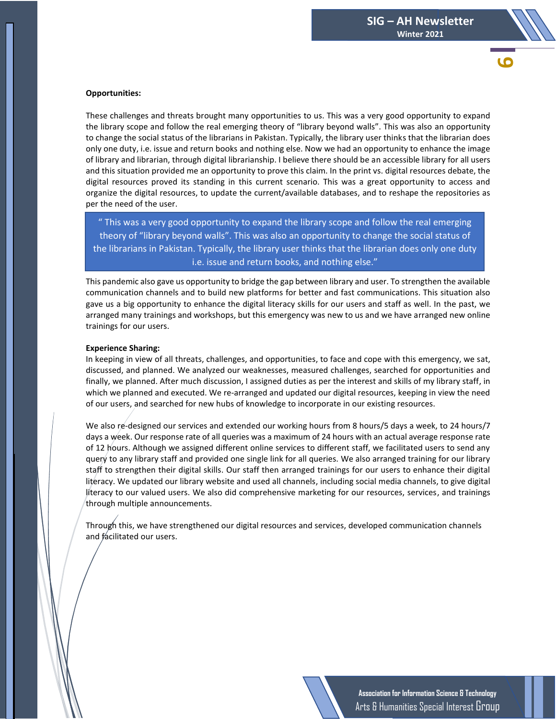

#### **Opportunities:**

These challenges and threats brought many opportunities to us. This was a very good opportunity to expand the library scope and follow the real emerging theory of "library beyond walls". This was also an opportunity to change the social status of the librarians in Pakistan. Typically, the library user thinks that the librarian does only one duty, i.e. issue and return books and nothing else. Now we had an opportunity to enhance the image of library and librarian, through digital librarianship. I believe there should be an accessible library for all users and this situation provided me an opportunity to prove this claim. In the print vs. digital resources debate, the digital resources proved its standing in this current scenario. This was a great opportunity to access and organize the digital resources, to update the current/available databases, and to reshape the repositories as per the need of the user.

" This was a very good opportunity to expand the library scope and follow the real emerging theory of "library beyond walls". This was also an opportunity to change the social status of the librarians in Pakistan. Typically, the library user thinks that the librarian does only one duty i.e. issue and return books, and nothing else."

This pandemic also gave us opportunity to bridge the gap between library and user. To strengthen the available communication channels and to build new platforms for better and fast communications. This situation also gave us a big opportunity to enhance the digital literacy skills for our users and staff as well. In the past, we arranged many trainings and workshops, but this emergency was new to us and we have arranged new online trainings for our users.

#### **Experience Sharing:**

In keeping in view of all threats, challenges, and opportunities, to face and cope with this emergency, we sat, discussed, and planned. We analyzed our weaknesses, measured challenges, searched for opportunities and finally, we planned. After much discussion, I assigned duties as per the interest and skills of my library staff, in which we planned and executed. We re-arranged and updated our digital resources, keeping in view the need of our users, and searched for new hubs of knowledge to incorporate in our existing resources.

We also re-designed our services and extended our working hours from 8 hours/5 days a week, to 24 hours/7 days a week. Our response rate of all queries was a maximum of 24 hours with an actual average response rate of 12 hours. Although we assigned different online services to different staff, we facilitated users to send any query to any library staff and provided one single link for all queries. We also arranged training for our library staff to strengthen their digital skills. Our staff then arranged trainings for our users to enhance their digital literacy. We updated our library website and used all channels, including social media channels, to give digital literacy to our valued users. We also did comprehensive marketing for our resources, services, and trainings through multiple announcements.

Through this, we have strengthened our digital resources and services, developed communication channels and facilitated our users.